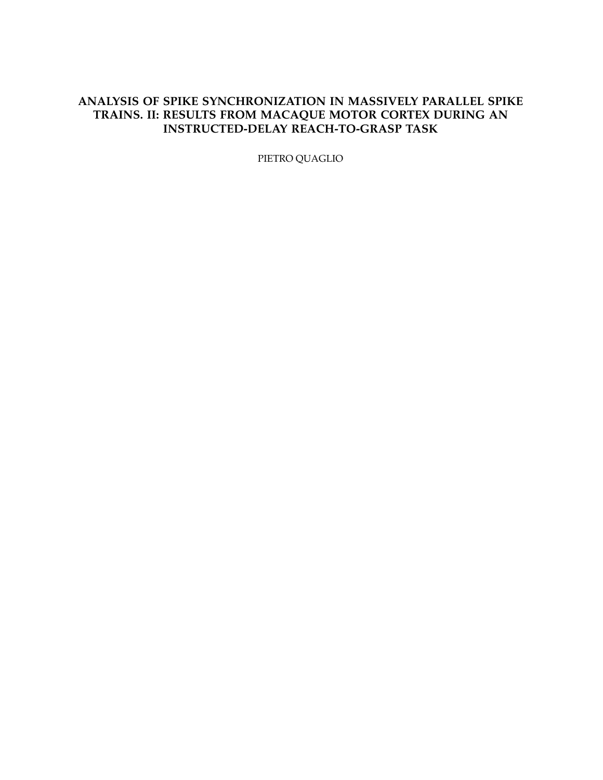## **ANALYSIS OF SPIKE SYNCHRONIZATION IN MASSIVELY PARALLEL SPIKE TRAINS. II: RESULTS FROM MACAQUE MOTOR CORTEX DURING AN INSTRUCTED-DELAY REACH-TO-GRASP TASK**

PIETRO QUAGLIO